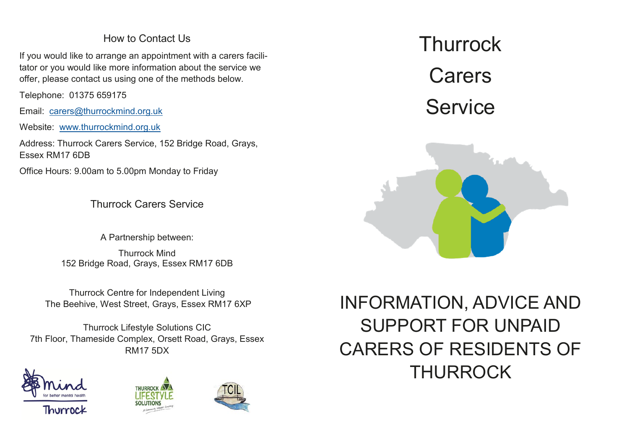## How to Contact Us

If you would like to arrange an appointment with a carers facilitator or you would like more information about the service we offer, please contact us using one of the methods below.

Telephone: 01375 659175

Email: carers@thurrockmind.org.uk

Website: www.thurrockmind.org.uk

Address: Thurrock Carers Service, 152 Bridge Road, Grays, Essex RM17 6DB

Office Hours: 9.00am to 5.00pm Monday to Friday

Thurrock Carers Service

A Partnership between:

Thurrock Mind 152 Bridge Road, Grays, Essex RM17 6DB

Thurrock Centre for Independent Living The Beehive, West Street, Grays, Essex RM17 6XP

Thurrock Lifestyle Solutions CIC 7th Floor, Thameside Complex, Orsett Road, Grays, Essex RM17 5DX







**Thurrock Carers** Service



INFORMATION, ADVICE AND SUPPORT FOR UNPAID CARERS OF RESIDENTS OF THURROCK